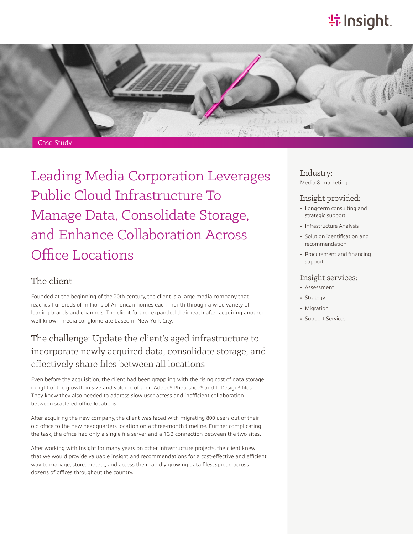# **特Insight**.



Leading Media Corporation Leverages Public Cloud Infrastructure To Manage Data, Consolidate Storage, and Enhance Collaboration Across Office Locations

### The client

Founded at the beginning of the 20th century, the client is a large media company that reaches hundreds of millions of American homes each month through a wide variety of leading brands and channels. The client further expanded their reach after acquiring another well-known media conglomerate based in New York City.

## The challenge: Update the client's aged infrastructure to incorporate newly acquired data, consolidate storage, and effectively share files between all locations

Even before the acquisition, the client had been grappling with the rising cost of data storage in light of the growth in size and volume of their Adobe® Photoshop® and InDesign® files. They knew they also needed to address slow user access and inefficient collaboration between scattered office locations.

After acquiring the new company, the client was faced with migrating 800 users out of their old office to the new headquarters location on a three-month timeline. Further complicating the task, the office had only a single file server and a 1GB connection between the two sites.

After working with Insight for many years on other infrastructure projects, the client knew that we would provide valuable insight and recommendations for a cost-effective and efficient way to manage, store, protect, and access their rapidly growing data files, spread across dozens of offices throughout the country.

#### Industry: Media & marketing

#### Insight provided:

- Long-term consulting and strategic support
- Infrastructure Analysis
- Solution identification and recommendation
- Procurement and financing support

#### Insight services:

- Assessment
- Strategy
- Migration
- Support Services